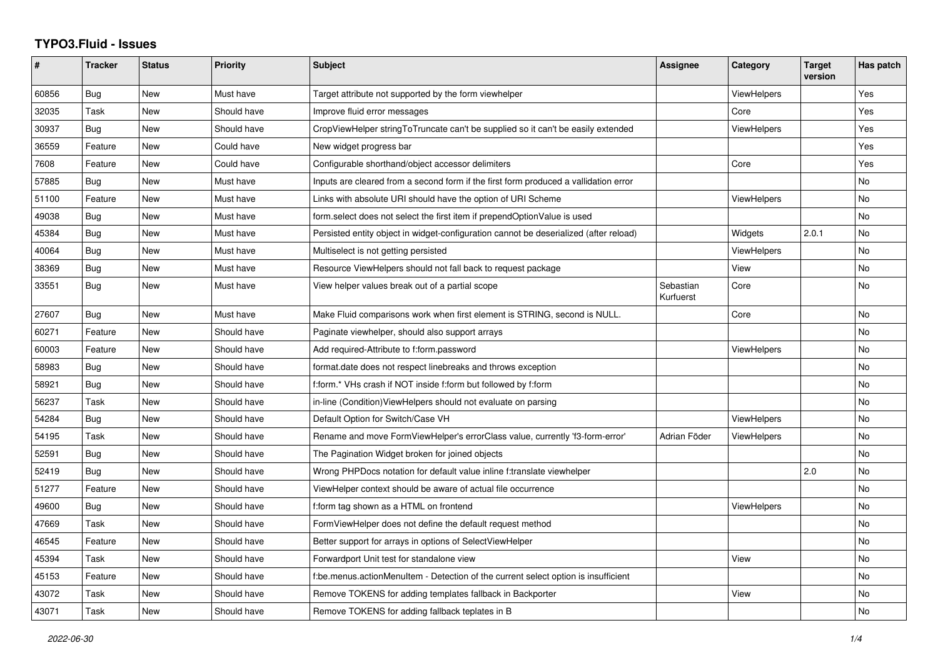## **TYPO3.Fluid - Issues**

| #     | <b>Tracker</b> | <b>Status</b> | <b>Priority</b> | <b>Subject</b>                                                                        | Assignee               | Category           | <b>Target</b><br>version | Has patch |
|-------|----------------|---------------|-----------------|---------------------------------------------------------------------------------------|------------------------|--------------------|--------------------------|-----------|
| 60856 | <b>Bug</b>     | New           | Must have       | Target attribute not supported by the form viewhelper                                 |                        | ViewHelpers        |                          | Yes       |
| 32035 | Task           | New           | Should have     | Improve fluid error messages                                                          |                        | Core               |                          | Yes       |
| 30937 | <b>Bug</b>     | New           | Should have     | CropViewHelper stringToTruncate can't be supplied so it can't be easily extended      |                        | ViewHelpers        |                          | Yes       |
| 36559 | Feature        | New           | Could have      | New widget progress bar                                                               |                        |                    |                          | Yes       |
| 7608  | Feature        | <b>New</b>    | Could have      | Configurable shorthand/object accessor delimiters                                     |                        | Core               |                          | Yes       |
| 57885 | Bug            | New           | Must have       | Inputs are cleared from a second form if the first form produced a vallidation error  |                        |                    |                          | No        |
| 51100 | Feature        | New           | Must have       | Links with absolute URI should have the option of URI Scheme                          |                        | <b>ViewHelpers</b> |                          | <b>No</b> |
| 49038 | Bug            | New           | Must have       | form.select does not select the first item if prependOptionValue is used              |                        |                    |                          | No        |
| 45384 | <b>Bug</b>     | <b>New</b>    | Must have       | Persisted entity object in widget-configuration cannot be deserialized (after reload) |                        | Widgets            | 2.0.1                    | <b>No</b> |
| 40064 | Bug            | New           | Must have       | Multiselect is not getting persisted                                                  |                        | ViewHelpers        |                          | No        |
| 38369 | Bug            | New           | Must have       | Resource ViewHelpers should not fall back to request package                          |                        | View               |                          | <b>No</b> |
| 33551 | Bug            | New           | Must have       | View helper values break out of a partial scope                                       | Sebastian<br>Kurfuerst | Core               |                          | No        |
| 27607 | <b>Bug</b>     | New           | Must have       | Make Fluid comparisons work when first element is STRING, second is NULL.             |                        | Core               |                          | <b>No</b> |
| 60271 | Feature        | New           | Should have     | Paginate viewhelper, should also support arrays                                       |                        |                    |                          | No        |
| 60003 | Feature        | <b>New</b>    | Should have     | Add required-Attribute to f:form.password                                             |                        | ViewHelpers        |                          | <b>No</b> |
| 58983 | <b>Bug</b>     | New           | Should have     | format.date does not respect linebreaks and throws exception                          |                        |                    |                          | No        |
| 58921 | Bug            | New           | Should have     | f:form.* VHs crash if NOT inside f:form but followed by f:form                        |                        |                    |                          | <b>No</b> |
| 56237 | Task           | <b>New</b>    | Should have     | in-line (Condition) View Helpers should not evaluate on parsing                       |                        |                    |                          | No        |
| 54284 | Bug            | New           | Should have     | Default Option for Switch/Case VH                                                     |                        | ViewHelpers        |                          | <b>No</b> |
| 54195 | Task           | New           | Should have     | Rename and move FormViewHelper's errorClass value, currently 'f3-form-error'          | Adrian Föder           | <b>ViewHelpers</b> |                          | No        |
| 52591 | <b>Bug</b>     | New           | Should have     | The Pagination Widget broken for joined objects                                       |                        |                    |                          | No        |
| 52419 | <b>Bug</b>     | New           | Should have     | Wrong PHPDocs notation for default value inline f:translate viewhelper                |                        |                    | 2.0                      | <b>No</b> |
| 51277 | Feature        | New           | Should have     | ViewHelper context should be aware of actual file occurrence                          |                        |                    |                          | No        |
| 49600 | Bug            | <b>New</b>    | Should have     | f:form tag shown as a HTML on frontend                                                |                        | <b>ViewHelpers</b> |                          | No        |
| 47669 | Task           | New           | Should have     | FormViewHelper does not define the default request method                             |                        |                    |                          | <b>No</b> |
| 46545 | Feature        | New           | Should have     | Better support for arrays in options of SelectViewHelper                              |                        |                    |                          | No        |
| 45394 | Task           | New           | Should have     | Forwardport Unit test for standalone view                                             |                        | View               |                          | No        |
| 45153 | Feature        | New           | Should have     | f:be.menus.actionMenuItem - Detection of the current select option is insufficient    |                        |                    |                          | <b>No</b> |
| 43072 | Task           | New           | Should have     | Remove TOKENS for adding templates fallback in Backporter                             |                        | View               |                          | No        |
| 43071 | Task           | <b>New</b>    | Should have     | Remove TOKENS for adding fallback teplates in B                                       |                        |                    |                          | <b>No</b> |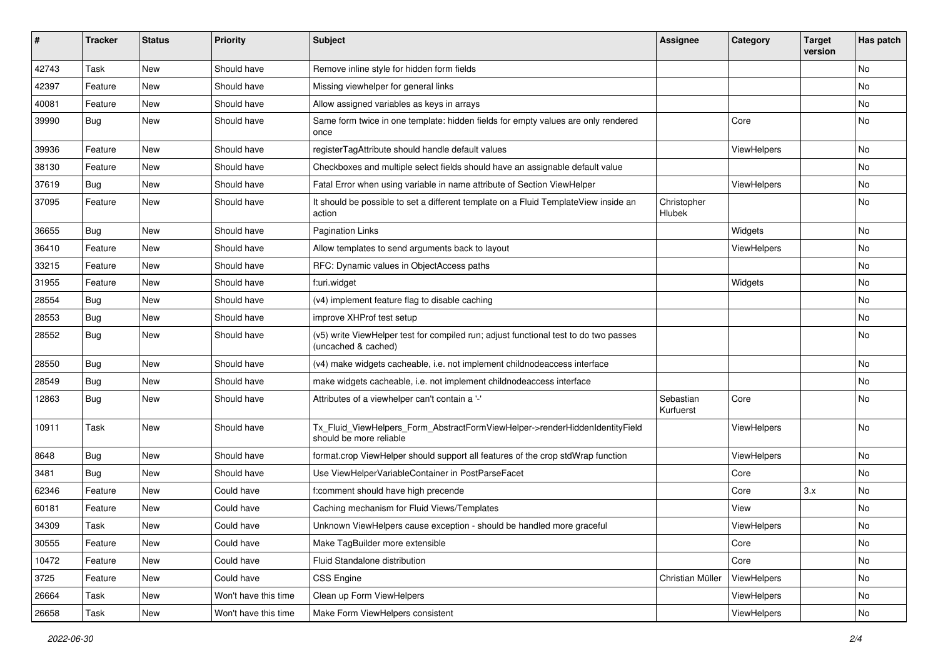| ∦     | <b>Tracker</b> | <b>Status</b> | <b>Priority</b>      | <b>Subject</b>                                                                                              | <b>Assignee</b>        | Category           | <b>Target</b><br>version | Has patch |
|-------|----------------|---------------|----------------------|-------------------------------------------------------------------------------------------------------------|------------------------|--------------------|--------------------------|-----------|
| 42743 | Task           | New           | Should have          | Remove inline style for hidden form fields                                                                  |                        |                    |                          | No        |
| 42397 | Feature        | New           | Should have          | Missing viewhelper for general links                                                                        |                        |                    |                          | No        |
| 40081 | Feature        | New           | Should have          | Allow assigned variables as keys in arrays                                                                  |                        |                    |                          | No        |
| 39990 | Bug            | New           | Should have          | Same form twice in one template: hidden fields for empty values are only rendered<br>once                   |                        | Core               |                          | No        |
| 39936 | Feature        | <b>New</b>    | Should have          | registerTagAttribute should handle default values                                                           |                        | ViewHelpers        |                          | No        |
| 38130 | Feature        | New           | Should have          | Checkboxes and multiple select fields should have an assignable default value                               |                        |                    |                          | No        |
| 37619 | <b>Bug</b>     | New           | Should have          | Fatal Error when using variable in name attribute of Section ViewHelper                                     |                        | ViewHelpers        |                          | No        |
| 37095 | Feature        | New           | Should have          | It should be possible to set a different template on a Fluid TemplateView inside an<br>action               | Christopher<br>Hlubek  |                    |                          | No        |
| 36655 | <b>Bug</b>     | New           | Should have          | <b>Pagination Links</b>                                                                                     |                        | Widgets            |                          | No        |
| 36410 | Feature        | New           | Should have          | Allow templates to send arguments back to layout                                                            |                        | ViewHelpers        |                          | No        |
| 33215 | Feature        | New           | Should have          | RFC: Dynamic values in ObjectAccess paths                                                                   |                        |                    |                          | No        |
| 31955 | Feature        | <b>New</b>    | Should have          | f:uri.widget                                                                                                |                        | Widgets            |                          | No        |
| 28554 | <b>Bug</b>     | New           | Should have          | (v4) implement feature flag to disable caching                                                              |                        |                    |                          | No        |
| 28553 | <b>Bug</b>     | New           | Should have          | improve XHProf test setup                                                                                   |                        |                    |                          | No        |
| 28552 | Bug            | New           | Should have          | (v5) write ViewHelper test for compiled run; adjust functional test to do two passes<br>(uncached & cached) |                        |                    |                          | No        |
| 28550 | Bug            | New           | Should have          | (v4) make widgets cacheable, i.e. not implement childnodeaccess interface                                   |                        |                    |                          | No        |
| 28549 | Bug            | New           | Should have          | make widgets cacheable, i.e. not implement childnodeaccess interface                                        |                        |                    |                          | No        |
| 12863 | <b>Bug</b>     | New           | Should have          | Attributes of a viewhelper can't contain a '-'                                                              | Sebastian<br>Kurfuerst | Core               |                          | No        |
| 10911 | Task           | New           | Should have          | Tx_Fluid_ViewHelpers_Form_AbstractFormViewHelper->renderHiddenIdentityField<br>should be more reliable      |                        | ViewHelpers        |                          | No        |
| 8648  | Bug            | New           | Should have          | format.crop ViewHelper should support all features of the crop stdWrap function                             |                        | ViewHelpers        |                          | No        |
| 3481  | Bug            | New           | Should have          | Use ViewHelperVariableContainer in PostParseFacet                                                           |                        | Core               |                          | No        |
| 62346 | Feature        | New           | Could have           | f:comment should have high precende                                                                         |                        | Core               | 3.x                      | No        |
| 60181 | Feature        | New           | Could have           | Caching mechanism for Fluid Views/Templates                                                                 |                        | View               |                          | No        |
| 34309 | Task           | New           | Could have           | Unknown ViewHelpers cause exception - should be handled more graceful                                       |                        | <b>ViewHelpers</b> |                          | No        |
| 30555 | Feature        | New           | Could have           | Make TagBuilder more extensible                                                                             |                        | Core               |                          | No        |
| 10472 | Feature        | New           | Could have           | Fluid Standalone distribution                                                                               |                        | Core               |                          | No        |
| 3725  | Feature        | New           | Could have           | CSS Engine                                                                                                  | Christian Müller       | ViewHelpers        |                          | No        |
| 26664 | Task           | New           | Won't have this time | Clean up Form ViewHelpers                                                                                   |                        | ViewHelpers        |                          | No        |
| 26658 | Task           | New           | Won't have this time | Make Form ViewHelpers consistent                                                                            |                        | ViewHelpers        |                          | No        |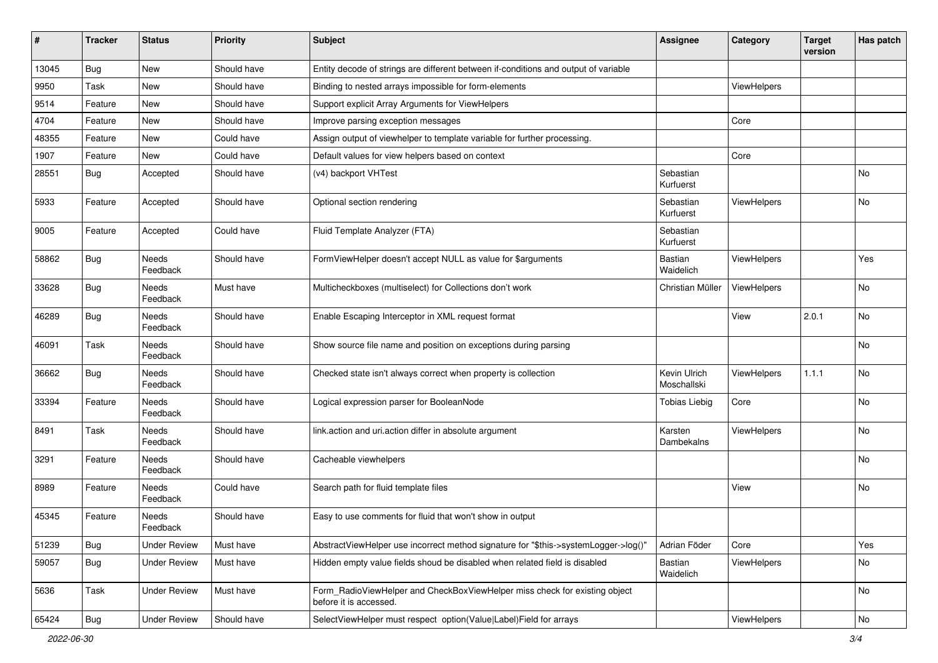| #     | <b>Tracker</b> | <b>Status</b>       | <b>Priority</b> | <b>Subject</b>                                                                                       | Assignee                    | Category    | <b>Target</b><br>version | <b>Has patch</b> |
|-------|----------------|---------------------|-----------------|------------------------------------------------------------------------------------------------------|-----------------------------|-------------|--------------------------|------------------|
| 13045 | Bug            | New                 | Should have     | Entity decode of strings are different between if-conditions and output of variable                  |                             |             |                          |                  |
| 9950  | Task           | New                 | Should have     | Binding to nested arrays impossible for form-elements                                                |                             | ViewHelpers |                          |                  |
| 9514  | Feature        | New                 | Should have     | Support explicit Array Arguments for ViewHelpers                                                     |                             |             |                          |                  |
| 4704  | Feature        | New                 | Should have     | Improve parsing exception messages                                                                   |                             | Core        |                          |                  |
| 48355 | Feature        | New                 | Could have      | Assign output of viewhelper to template variable for further processing.                             |                             |             |                          |                  |
| 1907  | Feature        | New                 | Could have      | Default values for view helpers based on context                                                     |                             | Core        |                          |                  |
| 28551 | Bug            | Accepted            | Should have     | (v4) backport VHTest                                                                                 | Sebastian<br>Kurfuerst      |             |                          | <b>No</b>        |
| 5933  | Feature        | Accepted            | Should have     | Optional section rendering                                                                           | Sebastian<br>Kurfuerst      | ViewHelpers |                          | No               |
| 9005  | Feature        | Accepted            | Could have      | Fluid Template Analyzer (FTA)                                                                        | Sebastian<br>Kurfuerst      |             |                          |                  |
| 58862 | Bug            | Needs<br>Feedback   | Should have     | FormViewHelper doesn't accept NULL as value for \$arguments                                          | Bastian<br>Waidelich        | ViewHelpers |                          | Yes              |
| 33628 | <b>Bug</b>     | Needs<br>Feedback   | Must have       | Multicheckboxes (multiselect) for Collections don't work                                             | Christian Müller            | ViewHelpers |                          | No               |
| 46289 | <b>Bug</b>     | Needs<br>Feedback   | Should have     | Enable Escaping Interceptor in XML request format                                                    |                             | View        | 2.0.1                    | No               |
| 46091 | Task           | Needs<br>Feedback   | Should have     | Show source file name and position on exceptions during parsing                                      |                             |             |                          | <b>No</b>        |
| 36662 | Bug            | Needs<br>Feedback   | Should have     | Checked state isn't always correct when property is collection                                       | Kevin Ulrich<br>Moschallski | ViewHelpers | 1.1.1                    | <b>No</b>        |
| 33394 | Feature        | Needs<br>Feedback   | Should have     | Logical expression parser for BooleanNode                                                            | <b>Tobias Liebig</b>        | Core        |                          | No               |
| 8491  | Task           | Needs<br>Feedback   | Should have     | link.action and uri.action differ in absolute argument                                               | Karsten<br>Dambekalns       | ViewHelpers |                          | No               |
| 3291  | Feature        | Needs<br>Feedback   | Should have     | Cacheable viewhelpers                                                                                |                             |             |                          | No.              |
| 8989  | Feature        | Needs<br>Feedback   | Could have      | Search path for fluid template files                                                                 |                             | View        |                          | No               |
| 45345 | Feature        | Needs<br>Feedback   | Should have     | Easy to use comments for fluid that won't show in output                                             |                             |             |                          |                  |
| 51239 | Bug            | <b>Under Review</b> | Must have       | AbstractViewHelper use incorrect method signature for "\$this->systemLogger->log()"                  | Adrian Föder                | Core        |                          | Yes              |
| 59057 | Bug            | <b>Under Review</b> | Must have       | Hidden empty value fields shoud be disabled when related field is disabled                           | Bastian<br>Waidelich        | ViewHelpers |                          | No               |
| 5636  | Task           | <b>Under Review</b> | Must have       | Form_RadioViewHelper and CheckBoxViewHelper miss check for existing object<br>before it is accessed. |                             |             |                          | No               |
| 65424 | Bug            | <b>Under Review</b> | Should have     | SelectViewHelper must respect option(Value Label)Field for arrays                                    |                             | ViewHelpers |                          | No               |